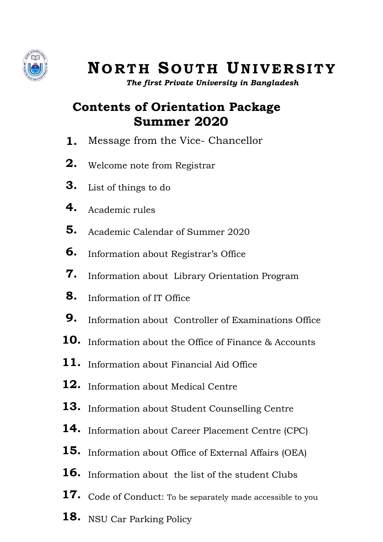

# **N O R T H S O U T H UN I V E R S I T Y**

*The first Private University in Bangladesh*

# **Contents of Orientation Package Summer 2020**

- **1.** Message from the Vice- Chancellor
- **2.** Welcome note from Registrar
- **3.** List of things to do
- **4.** Academic rules
- **5.** Academic Calendar of Summer 2020
- **6.** Information about Registrar's Office
- **7.** Information about Library Orientation Program
- **8.** Information of IT Office
- **9.** Information about Controller of Examinations Office
- **10.** Information about the Office of Finance & Accounts
- **11.** Information about Financial Aid Office
- **12.** Information about Medical Centre
- **13.** Information about Student Counselling Centre
- **14.** Information about Career Placement Centre (CPC)
- **15.** Information about Office of External Affairs (OEA)
- **16.** Information about the list of the student Clubs
- **17.** Code of Conduct: To be separately made accessible to you
- **18.** NSU Car Parking Policy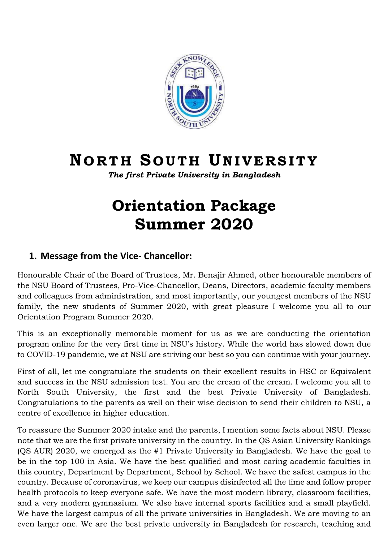

# **N O R T H S O U T H UN I V E R S I T Y**

*The first Private University in Bangladesh*

# **Orientation Package Summer 2020**

# **1. Message from the Vice- Chancellor:**

Honourable Chair of the Board of Trustees, Mr. Benajir Ahmed, other honourable members of the NSU Board of Trustees, Pro-Vice-Chancellor, Deans, Directors, academic faculty members and colleagues from administration, and most importantly, our youngest members of the NSU family, the new students of Summer 2020, with great pleasure I welcome you all to our Orientation Program Summer 2020.

This is an exceptionally memorable moment for us as we are conducting the orientation program online for the very first time in NSU's history. While the world has slowed down due to COVID-19 pandemic, we at NSU are striving our best so you can continue with your journey.

First of all, let me congratulate the students on their excellent results in HSC or Equivalent and success in the NSU admission test. You are the cream of the cream. I welcome you all to North South University, the first and the best Private University of Bangladesh. Congratulations to the parents as well on their wise decision to send their children to NSU, a centre of excellence in higher education.

To reassure the Summer 2020 intake and the parents, I mention some facts about NSU. Please note that we are the first private university in the country. In the QS Asian University Rankings (QS AUR) 2020, we emerged as the #1 Private University in Bangladesh. We have the goal to be in the top 100 in Asia. We have the best qualified and most caring academic faculties in this country, Department by Department, School by School. We have the safest campus in the country. Because of coronavirus, we keep our campus disinfected all the time and follow proper health protocols to keep everyone safe. We have the most modern library, classroom facilities, and a very modern gymnasium. We also have internal sports facilities and a small playfield. We have the largest campus of all the private universities in Bangladesh. We are moving to an even larger one. We are the best private university in Bangladesh for research, teaching and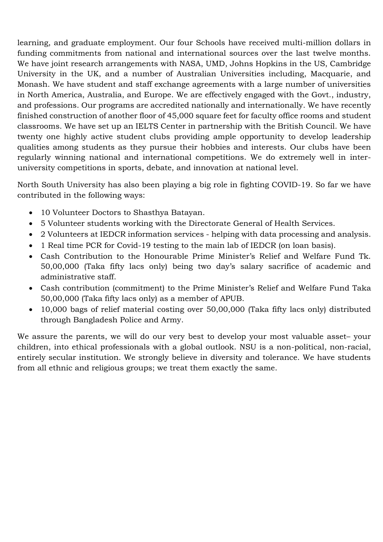learning, and graduate employment. Our four Schools have received multi-million dollars in funding commitments from national and international sources over the last twelve months. We have joint research arrangements with NASA, UMD, Johns Hopkins in the US, Cambridge University in the UK, and a number of Australian Universities including, Macquarie, and Monash. We have student and staff exchange agreements with a large number of universities in North America, Australia, and Europe. We are effectively engaged with the Govt., industry, and professions. Our programs are accredited nationally and internationally. We have recently finished construction of another floor of 45,000 square feet for faculty office rooms and student classrooms. We have set up an IELTS Center in partnership with the British Council. We have twenty one highly active student clubs providing ample opportunity to develop leadership qualities among students as they pursue their hobbies and interests. Our clubs have been regularly winning national and international competitions. We do extremely well in interuniversity competitions in sports, debate, and innovation at national level.

North South University has also been playing a big role in fighting COVID-19. So far we have contributed in the following ways:

- 10 Volunteer Doctors to Shasthya Batayan.
- 5 Volunteer students working with the Directorate General of Health Services.
- 2 Volunteers at IEDCR information services helping with data processing and analysis.
- 1 Real time PCR for Covid-19 testing to the main lab of IEDCR (on loan basis).
- Cash Contribution to the Honourable Prime Minister's Relief and Welfare Fund Tk. 50,00,000 (Taka fifty lacs only) being two day's salary sacrifice of academic and administrative staff.
- Cash contribution (commitment) to the Prime Minister's Relief and Welfare Fund Taka 50,00,000 (Taka fifty lacs only) as a member of APUB.
- 10,000 bags of relief material costing over 50,00,000 (Taka fifty lacs only) distributed through Bangladesh Police and Army.

We assure the parents, we will do our very best to develop your most valuable asset– your children, into ethical professionals with a global outlook. NSU is a non-political, non-racial, entirely secular institution. We strongly believe in diversity and tolerance. We have students from all ethnic and religious groups; we treat them exactly the same.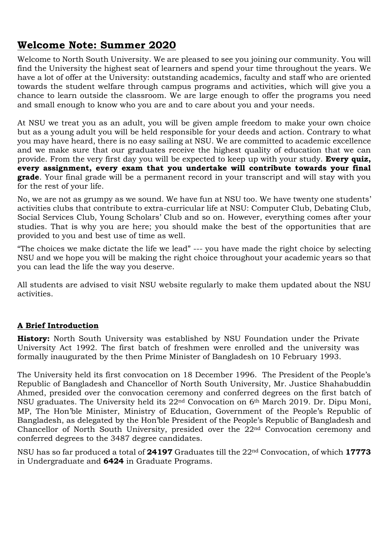# **Welcome Note: Summer 2020**

Welcome to North South University. We are pleased to see you joining our community. You will find the University the highest seat of learners and spend your time throughout the years. We have a lot of offer at the University: outstanding academics, faculty and staff who are oriented towards the student welfare through campus programs and activities, which will give you a chance to learn outside the classroom. We are large enough to offer the programs you need and small enough to know who you are and to care about you and your needs.

At NSU we treat you as an adult, you will be given ample freedom to make your own choice but as a young adult you will be held responsible for your deeds and action. Contrary to what you may have heard, there is no easy sailing at NSU. We are committed to academic excellence and we make sure that our graduates receive the highest quality of education that we can provide. From the very first day you will be expected to keep up with your study. **Every quiz, every assignment, every exam that you undertake will contribute towards your final grade**. Your final grade will be a permanent record in your transcript and will stay with you for the rest of your life.

No, we are not as grumpy as we sound. We have fun at NSU too. We have twenty one students' activities clubs that contribute to extra-curricular life at NSU: Computer Club, Debating Club, Social Services Club, Young Scholars' Club and so on. However, everything comes after your studies. That is why you are here; you should make the best of the opportunities that are provided to you and best use of time as well.

"The choices we make dictate the life we lead" --- you have made the right choice by selecting NSU and we hope you will be making the right choice throughout your academic years so that you can lead the life the way you deserve.

All students are advised to visit NSU website regularly to make them updated about the NSU activities.

# **A Brief Introduction**

**History:** North South University was established by NSU Foundation under the Private University Act 1992. The first batch of freshmen were enrolled and the university was formally inaugurated by the then Prime Minister of Bangladesh on 10 February 1993.

The University held its first convocation on 18 December 1996. The President of the People's Republic of Bangladesh and Chancellor of North South University, Mr. Justice Shahabuddin Ahmed, presided over the convocation ceremony and conferred degrees on the first batch of NSU graduates. The University held its 22nd Convocation on 6th March 2019. Dr. Dipu Moni, MP, The Hon'ble Minister, Ministry of Education, Government of the People's Republic of Bangladesh, as delegated by the Hon'ble President of the People's Republic of Bangladesh and Chancellor of North South University, presided over the 22nd Convocation ceremony and conferred degrees to the 3487 degree candidates.

NSU has so far produced a total of **24197** Graduates till the 22nd Convocation, of which **17773** in Undergraduate and **6424** in Graduate Programs.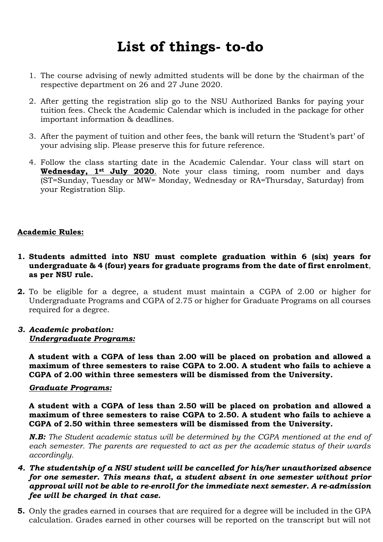# **List of things- to-do**

- 1. The course advising of newly admitted students will be done by the chairman of the respective department on 26 and 27 June 2020.
- 2. After getting the registration slip go to the NSU Authorized Banks for paying your tuition fees. Check the Academic Calendar which is included in the package for other important information & deadlines.
- 3. After the payment of tuition and other fees, the bank will return the 'Student's part' of your advising slip. Please preserve this for future reference.
- 4. Follow the class starting date in the Academic Calendar. Your class will start on **Wednesday, 1st July 2020**. Note your class timing, room number and days (ST=Sunday, Tuesday or MW= Monday, Wednesday or RA=Thursday, Saturday) from your Registration Slip.

### **Academic Rules:**

- **1. Students admitted into NSU must complete graduation within 6 (six) years for undergraduate & 4 (four) years for graduate programs from the date of first enrolment**, **as per NSU rule.**
- **2.** To be eligible for a degree, a student must maintain a CGPA of 2.00 or higher for Undergraduate Programs and CGPA of 2.75 or higher for Graduate Programs on all courses required for a degree.

### *3. Academic probation: Undergraduate Programs:*

**A student with a CGPA of less than 2.00 will be placed on probation and allowed a maximum of three semesters to raise CGPA to 2.00. A student who fails to achieve a CGPA of 2.00 within three semesters will be dismissed from the University.**

### *Graduate Programs:*

**A student with a CGPA of less than 2.50 will be placed on probation and allowed a maximum of three semesters to raise CGPA to 2.50. A student who fails to achieve a CGPA of 2.50 within three semesters will be dismissed from the University.**

*N.B: The Student academic status will be determined by the CGPA mentioned at the end of each semester. The parents are requested to act as per the academic status of their wards accordingly.* 

- *4. The studentship of a NSU student will be cancelled for his/her unauthorized absence for one semester. This means that, a student absent in one semester without prior approval will not be able to re-enroll for the immediate next semester. A re-admission fee will be charged in that case.*
- **5.** Only the grades earned in courses that are required for a degree will be included in the GPA calculation. Grades earned in other courses will be reported on the transcript but will not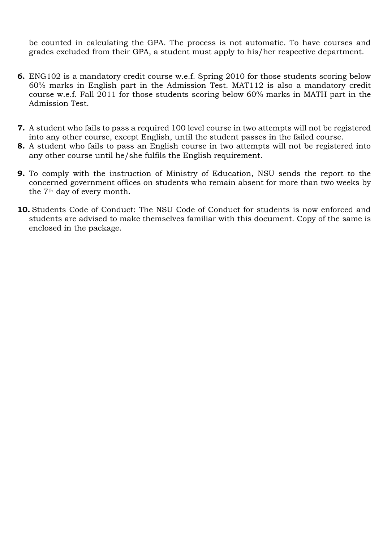be counted in calculating the GPA. The process is not automatic. To have courses and grades excluded from their GPA, a student must apply to his/her respective department.

- **6.** ENG102 is a mandatory credit course w.e.f. Spring 2010 for those students scoring below 60% marks in English part in the Admission Test. MAT112 is also a mandatory credit course w.e.f. Fall 2011 for those students scoring below 60% marks in MATH part in the Admission Test.
- **7.** A student who fails to pass a required 100 level course in two attempts will not be registered into any other course, except English, until the student passes in the failed course.
- **8.** A student who fails to pass an English course in two attempts will not be registered into any other course until he/she fulfils the English requirement.
- **9.** To comply with the instruction of Ministry of Education, NSU sends the report to the concerned government offices on students who remain absent for more than two weeks by the 7th day of every month.
- **10.** Students Code of Conduct: The NSU Code of Conduct for students is now enforced and students are advised to make themselves familiar with this document. Copy of the same is enclosed in the package.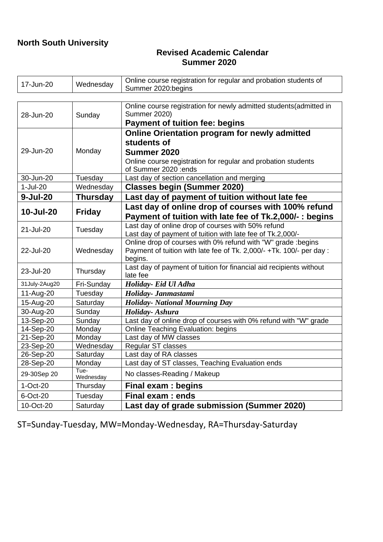# **North South University**

## **Revised Academic Calendar Summer 2020**

| 17-Jun-20      | Wednesday         | Online course registration for regular and probation students of<br>Summer 2020:begins                                             |  |  |
|----------------|-------------------|------------------------------------------------------------------------------------------------------------------------------------|--|--|
|                |                   |                                                                                                                                    |  |  |
| 28-Jun-20      | Sunday            | Online course registration for newly admitted students(admitted in<br><b>Summer 2020)</b><br><b>Payment of tuition fee: begins</b> |  |  |
|                |                   | Online Orientation program for newly admitted                                                                                      |  |  |
|                |                   | students of                                                                                                                        |  |  |
| 29-Jun-20      | Monday            | Summer 2020                                                                                                                        |  |  |
|                |                   | Online course registration for regular and probation students                                                                      |  |  |
|                |                   | of Summer 2020 :ends                                                                                                               |  |  |
| 30-Jun-20      | Tuesday           | Last day of section cancellation and merging                                                                                       |  |  |
| $1-Jul-20$     | Wednesday         | <b>Classes begin (Summer 2020)</b>                                                                                                 |  |  |
| $9 - Jul - 20$ | <b>Thursday</b>   | Last day of payment of tuition without late fee                                                                                    |  |  |
|                |                   | Last day of online drop of courses with 100% refund                                                                                |  |  |
| 10-Jul-20      | <b>Friday</b>     | Payment of tuition with late fee of Tk.2,000/-: begins                                                                             |  |  |
| 21-Jul-20      | Tuesday           | Last day of online drop of courses with 50% refund                                                                                 |  |  |
|                |                   | Last day of payment of tuition with late fee of Tk.2,000/-                                                                         |  |  |
|                | Wednesday         | Online drop of courses with 0% refund with "W" grade :begins                                                                       |  |  |
| 22-Jul-20      |                   | Payment of tuition with late fee of Tk. 2,000/- +Tk. 100/- per day :                                                               |  |  |
|                |                   | begins.                                                                                                                            |  |  |
| 23-Jul-20      | Thursday          | Last day of payment of tuition for financial aid recipients without                                                                |  |  |
| late fee       |                   |                                                                                                                                    |  |  |
| 31July-2Aug20  | Fri-Sunday        | Holiday- Eid Ul Adha                                                                                                               |  |  |
| 11-Aug-20      | Tuesday           | Holiday- Janmastami                                                                                                                |  |  |
| 15-Aug-20      | Saturday          | <b>Holiday- National Mourning Day</b>                                                                                              |  |  |
| 30-Aug-20      | Sunday            | Holiday-Ashura                                                                                                                     |  |  |
| 13-Sep-20      | Sunday            | Last day of online drop of courses with 0% refund with "W" grade                                                                   |  |  |
| 14-Sep-20      | Monday            | <b>Online Teaching Evaluation: begins</b>                                                                                          |  |  |
| 21-Sep-20      | Monday            | Last day of MW classes                                                                                                             |  |  |
| 23-Sep-20      | Wednesday         | Regular ST classes                                                                                                                 |  |  |
| 26-Sep-20      | Saturday          | Last day of RA classes                                                                                                             |  |  |
| 28-Sep-20      | Monday            | Last day of ST classes, Teaching Evaluation ends                                                                                   |  |  |
| 29-30Sep 20    | Tue-<br>Wednesday | No classes-Reading / Makeup                                                                                                        |  |  |
| 1-Oct-20       | Thursday          | <b>Final exam: begins</b>                                                                                                          |  |  |
| 6-Oct-20       | Tuesday           | Final exam: ends                                                                                                                   |  |  |
| 10-Oct-20      | Saturday          | Last day of grade submission (Summer 2020)                                                                                         |  |  |

ST=Sunday-Tuesday, MW=Monday-Wednesday, RA=Thursday-Saturday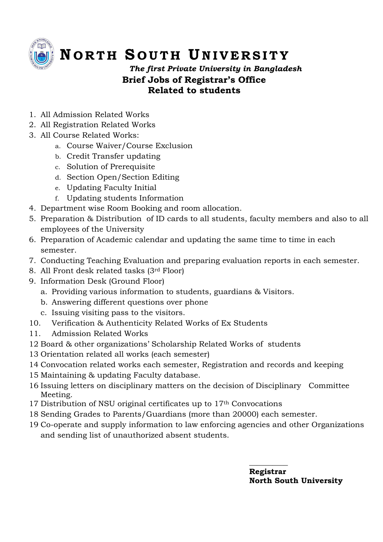

# **N O R T H S O U T H UN I V E R S I T Y**

*The first Private University in Bangladesh* **Brief Jobs of Registrar's Office Related to students**

- 1. All Admission Related Works
- 2. All Registration Related Works
- 3. All Course Related Works:
	- a. Course Waiver/Course Exclusion
	- b. Credit Transfer updating
	- c. Solution of Prerequisite
	- d. Section Open/Section Editing
	- e. Updating Faculty Initial
	- f. Updating students Information
- 4. Department wise Room Booking and room allocation.
- 5. Preparation & Distribution of ID cards to all students, faculty members and also to all employees of the University
- 6. Preparation of Academic calendar and updating the same time to time in each semester.
- 7. Conducting Teaching Evaluation and preparing evaluation reports in each semester.
- 8. All Front desk related tasks (3rd Floor)
- 9. Information Desk (Ground Floor)
	- a. Providing various information to students, guardians & Visitors.
	- b. Answering different questions over phone
	- c. Issuing visiting pass to the visitors.
- 10. Verification & Authenticity Related Works of Ex Students
- 11. Admission Related Works
- 12 Board & other organizations' Scholarship Related Works of students
- 13 Orientation related all works (each semester)
- 14 Convocation related works each semester, Registration and records and keeping
- 15 Maintaining & updating Faculty database.
- 16 Issuing letters on disciplinary matters on the decision of Disciplinary Committee Meeting.
- 17 Distribution of NSU original certificates up to 17th Convocations

 **\_\_\_\_\_\_\_\_\_\_**

- 18 Sending Grades to Parents/Guardians (more than 20000) each semester.
- 19 Co-operate and supply information to law enforcing agencies and other Organizations and sending list of unauthorized absent students.

 **Registrar North South University**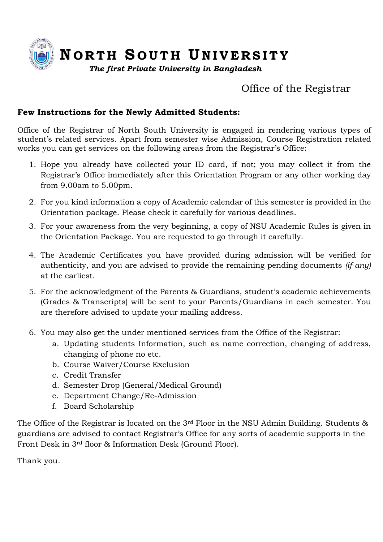

# Office of the Registrar

## **Few Instructions for the Newly Admitted Students:**

Office of the Registrar of North South University is engaged in rendering various types of student's related services. Apart from semester wise Admission, Course Registration related works you can get services on the following areas from the Registrar's Office:

- 1. Hope you already have collected your ID card, if not; you may collect it from the Registrar's Office immediately after this Orientation Program or any other working day from 9.00am to 5.00pm.
- 2. For you kind information a copy of Academic calendar of this semester is provided in the Orientation package. Please check it carefully for various deadlines.
- 3. For your awareness from the very beginning, a copy of NSU Academic Rules is given in the Orientation Package. You are requested to go through it carefully.
- 4. The Academic Certificates you have provided during admission will be verified for authenticity, and you are advised to provide the remaining pending documents *(if any)* at the earliest.
- 5. For the acknowledgment of the Parents & Guardians, student's academic achievements (Grades & Transcripts) will be sent to your Parents/Guardians in each semester. You are therefore advised to update your mailing address.
- 6. You may also get the under mentioned services from the Office of the Registrar:
	- a. Updating students Information, such as name correction, changing of address, changing of phone no etc.
	- b. Course Waiver/Course Exclusion
	- c. Credit Transfer
	- d. Semester Drop (General/Medical Ground)
	- e. Department Change/Re-Admission
	- f. Board Scholarship

The Office of the Registrar is located on the 3<sup>rd</sup> Floor in the NSU Admin Building. Students & guardians are advised to contact Registrar's Office for any sorts of academic supports in the Front Desk in 3rd floor & Information Desk (Ground Floor).

Thank you.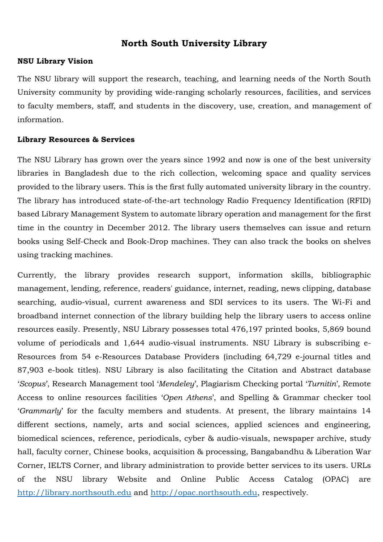# **North South University Library**

### **NSU Library Vision**

The NSU library will support the research, teaching, and learning needs of the North South University community by providing wide-ranging scholarly resources, facilities, and services to faculty members, staff, and students in the discovery, use, creation, and management of information.

### **Library Resources & Services**

The NSU Library has grown over the years since 1992 and now is one of the best university libraries in Bangladesh due to the rich collection, welcoming space and quality services provided to the library users. This is the first fully automated university library in the country. The library has introduced state-of-the-art technology Radio Frequency Identification (RFID) based Library Management System to automate library operation and management for the first time in the country in December 2012. The library users themselves can issue and return books using Self-Check and Book-Drop machines. They can also track the books on shelves using tracking machines.

Currently, the library provides research support, information skills, bibliographic management, lending, reference, readers' guidance, internet, reading, news clipping, database searching, audio-visual, current awareness and SDI services to its users. The Wi-Fi and broadband internet connection of the library building help the library users to access online resources easily. Presently, NSU Library possesses total 476,197 printed books, 5,869 bound volume of periodicals and 1,644 audio-visual instruments. NSU Library is subscribing e-Resources from 54 e-Resources Database Providers (including 64,729 e-journal titles and 87,903 e-book titles). NSU Library is also facilitating the Citation and Abstract database '*Scopus*', Research Management tool '*Mendeley*', Plagiarism Checking portal '*Turnitin*', Remote Access to online resources facilities '*Open Athens*', and Spelling & Grammar checker tool '*Grammarly*' for the faculty members and students. At present, the library maintains 14 different sections, namely, arts and social sciences, applied sciences and engineering, biomedical sciences, reference, periodicals, cyber & audio-visuals, newspaper archive, study hall, faculty corner, Chinese books, acquisition & processing, Bangabandhu & Liberation War Corner, IELTS Corner, and library administration to provide better services to its users. URLs of the NSU library Website and Online Public Access Catalog (OPAC) are [http://library.northsouth.edu](http://library.northsouth.edu/) and [http://opac.northsouth.edu,](http://opac.northsouth.edu/) respectively.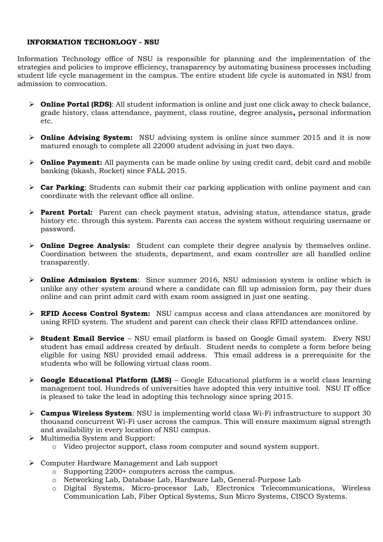### **INFORMATION TECHONLOGY - NSU**

Information Technology office of NSU is responsible for planning and the implementation of the strategies and policies to improve efficiency, transparency by automating business processes including student life cycle management in the campus. The entire student life cycle is automated in NSU from admission to convocation.

- ➢ **Online Portal (RDS)**: All student information is online and just one click away to check balance, grade history, class attendance, payment, class routine, degree analysis**,** personal information etc.
- ➢ **Online Advising System:** NSU advising system is online since summer 2015 and it is now matured enough to complete all 22000 student advising in just two days.
- ➢ **Online Payment:** All payments can be made online by using credit card, debit card and mobile banking (bkash, Rocket) since FALL 2015.
- ➢ **Car Parking**: Students can submit their car parking application with online payment and can coordinate with the relevant office all online.
- ➢ **Parent Portal:** Parent can check payment status, advising status, attendance status, grade history etc. through this system. Parents can access the system without requiring username or password.
- ➢ **Online Degree Analysis:** Student can complete their degree analysis by themselves online. Coordination between the students, department, and exam controller are all handled online transparently.
- ➢ **Online Admission System**: Since summer 2016, NSU admission system is online which is unlike any other system around where a candidate can fill up admission form, pay their dues online and can print admit card with exam room assigned in just one seating.
- ➢ **RFID Access Control System:** NSU campus access and class attendances are monitored by using RFID system. The student and parent can check their class RFID attendances online.
- ➢ **Student Email Service**  NSU email platform is based on Google Gmail system. Every NSU student has email address created by default. Student needs to complete a form before being eligible for using NSU provided email address. This email address is a prerequisite for the students who will be following virtual class room.
- ➢ **Google Educational Platform (LMS)**  Google Educational platform is a world class learning management tool. Hundreds of universities have adopted this very intuitive tool. NSU IT office is pleased to take the lead in adopting this technology since spring 2015.
- ➢ **Campus Wireless System**: NSU is implementing world class Wi-Fi infrastructure to support 30 thousand concurrent Wi-Fi user across the campus. This will ensure maximum signal strength and availability in every location of NSU campus.
- ➢ Multimedia System and Support:
	- o Video projector support, class room computer and sound system support.
- ➢ Computer Hardware Management and Lab support
	- o Supporting 2200+ computers across the campus.
	- o Networking Lab, Database Lab, Hardware Lab, General-Purpose Lab
	- o Digital Systems, Micro-processor Lab, Electronics Telecommunications, Wireless Communication Lab, Fiber Optical Systems, Sun Micro Systems, CISCO Systems.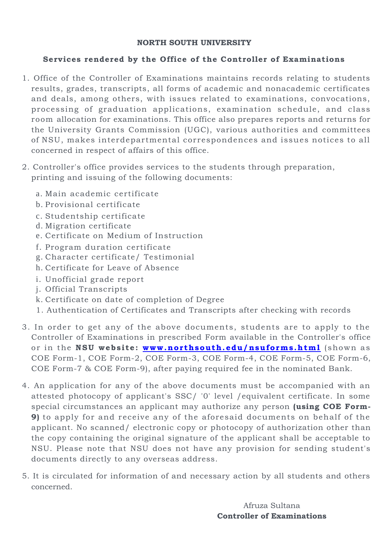### **NORTH SOUTH UNIVERSITY**

### **Services rendered by the Office of the Controller of Examinations**

- 1. Office of the Controller of Examinations maintains records relating to students results, grades, transcripts, all forms of academic and nonacademic certificates and deals, among others, with issues related to examinations, convocations, processing of graduation applications, examination schedule, and class room allocation for examinations. This office also prepares reports and returns for the University Grants Commission (UGC), various authorities and committees of NSU, makes interdepartmental correspondences and issues notices to all concerned in respect of affairs of this office.
- 2. Controller's office provides services to the students through preparation, printing and issuing of the following documents:
	- a. Main academic certificate
	- b. Provisional certificate
	- c. Studentship certificate
	- d. Migration certificate
	- e. Certificate on Medium of Instruction
	- f. Program duration certificate
	- g. Character certificate/ Testimonial
	- h. Certificate for Leave of Absence
	- i. Unofficial grade report
	- j. Official Transcripts
	- k. Certificate on date of completion of Degree
	- 1. Authentication of Certificates and Transcripts after checking with records
- 3. In order to get any of the above documents, students are to apply to the Controller of Examinations in prescribed Form available in the Controller's office or in the NSU website: www.northsouth.edu/nsuforms.html (shown as COE Form-1, COE Form-2, COE Form-3, COE Form-4, COE Form-5, COE Form-6, COE Form-7 & COE Form-9), after paying required fee in the nominated Bank.
- 4. An application for any of the above documents must be accompanied with an attested photocopy of applicant's SSC/ '0' level /equivalent certificate. In some special circumstances an applicant may authorize any person **(using COE Form-9)** to apply for and receive any of the aforesaid documents on behalf of the applicant. No scanned/ electronic copy or photocopy of authorization other than the copy containing the original signature of the applicant shall be acceptable to NSU. Please note that NSU does not have any provision for sending student's documents directly to any overseas address.
- 5. It is circulated for information of and necessary action by all students and others concerned.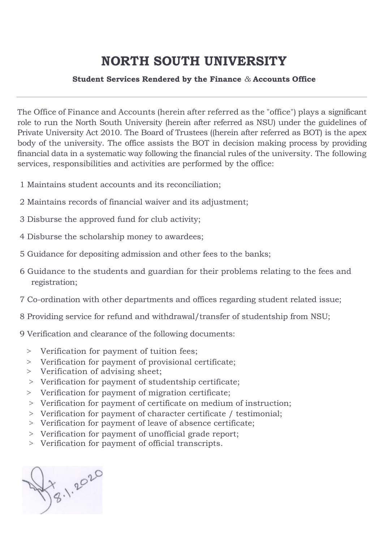# **NORTH SOUTH UNIVERSITY**

### **Student Services Rendered by the Finance** *&* **Accounts Office**

The Office of Finance and Accounts (herein after referred as the "office") plays a significant role to run the North South University (herein after referred as NSU) under the guidelines of Private University Act 2010. The Board of Trustees ((herein after referred as BOT) is the apex body of the university. The office assists the BOT in decision making process by providing financial data in a systematic way following the financial rules of the university. The following services, responsibilities and activities are performed by the office:

- 1 Maintains student accounts and its reconciliation;
- 2 Maintains records of financial waiver and its adjustment;
- 3 Disburse the approved fund for club activity;
- 4 Disburse the scholarship money to awardees;
- 5 Guidance for depositing admission and other fees to the banks;
- 6 Guidance to the students and guardian for their problems relating to the fees and registration;
- 7 Co-ordination with other departments and offices regarding student related issue;
- 8 Providing service for refund and withdrawal/transfer of studentship from NSU;
- 9 Verification and clearance of the following documents:
	- > Verification for payment of tuition fees;
	- > Verification for payment of provisional certificate;
	- > Verification of advising sheet;
	- > Verification for payment of studentship certificate;
	- > Verification for payment of migration certificate;
	- > Verification for payment of certificate on medium of instruction;
	- > Verification for payment of character certificate / testimonial;
	- > Verification for payment of leave of absence certificate;
	- > Verification for payment of unofficial grade report;
	- > Verification for payment of official transcripts.

X 1.2020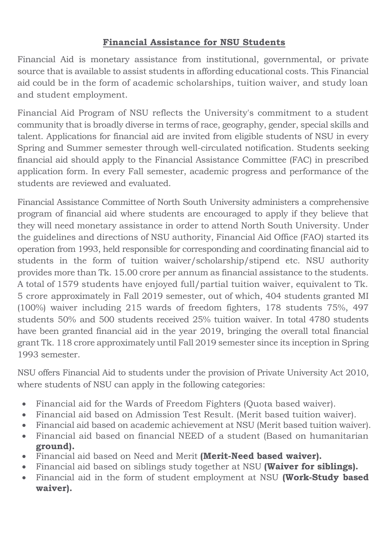# **Financial Assistance for NSU Students**

Financial Aid is monetary assistance from institutional, governmental, or private source that is available to assist students in affording educational costs. This Financial aid could be in the form of academic scholarships, tuition waiver, and study loan and student employment.

Financial Aid Program of NSU reflects the University's commitment to a student community that is broadly diverse in terms of race, geography, gender, special skills and talent. Applications for financial aid are invited from eligible students of NSU in every Spring and Summer semester through well-circulated notification. Students seeking financial aid should apply to the Financial Assistance Committee (FAC) in prescribed application form. In every Fall semester, academic progress and performance of the students are reviewed and evaluated.

Financial Assistance Committee of North South University administers a comprehensive program of financial aid where students are encouraged to apply if they believe that they will need monetary assistance in order to attend North South University. Under the guidelines and directions of NSU authority, Financial Aid Office (FAO) started its operation from 1993, held responsible for corresponding and coordinating financial aid to students in the form of tuition waiver/scholarship/stipend etc. NSU authority provides more than Tk. 15.00 crore per annum as financial assistance to the students. A total of 1579 students have enjoyed full/partial tuition waiver, equivalent to Tk. 5 crore approximately in Fall 2019 semester, out of which, 404 students granted MI (100%) waiver including 215 wards of freedom fighters, 178 students 75%, 497 students 50% and 500 students received 25% tuition waiver. In total 4780 students have been granted financial aid in the year 2019, bringing the overall total financial grant Tk. 118 crore approximately until Fall 2019 semester since its inception in Spring 1993 semester.

NSU offers Financial Aid to students under the provision of Private University Act 2010, where students of NSU can apply in the following categories:

- Financial aid for the Wards of Freedom Fighters (Quota based waiver).
- Financial aid based on Admission Test Result. (Merit based tuition waiver).
- Financial aid based on academic achievement at NSU (Merit based tuition waiver).
- Financial aid based on financial NEED of a student (Based on humanitarian **ground).**
- Financial aid based on Need and Merit **(Merit-Need based waiver).**
- Financial aid based on siblings study together at NSU **(Waiver for siblings).**
- Financial aid in the form of student employment at NSU **(Work-Study based waiver).**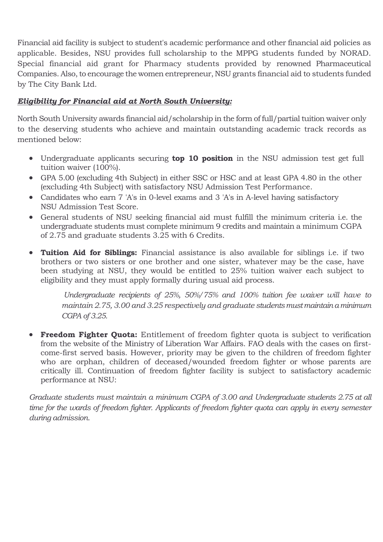Financial aid facility is subject to student's academic performance and other financial aid policies as applicable. Besides, NSU provides full scholarship to the MPPG students funded by NORAD. Special financial aid grant for Pharmacy students provided by renowned Pharmaceutical Companies. Also, to encourage the women entrepreneur, NSU grants financial aid to students funded by The City Bank Ltd.

## *Eligibility for Financial aid at North South University:*

North South University awards financial aid/scholarship in the form of full/partial tuition waiver only to the deserving students who achieve and maintain outstanding academic track records as mentioned below:

- Undergraduate applicants securing **top 10 position** in the NSU admission test get full tuition waiver (100%).
- GPA 5.00 (excluding 4th Subject) in either SSC or HSC and at least GPA 4.80 in the other (excluding 4th Subject) with satisfactory NSU Admission Test Performance.
- Candidates who earn 7 'A's in 0-level exams and 3 'A's in A-level having satisfactory NSU Admission Test Score.
- General students of NSU seeking financial aid must fulfill the minimum criteria i.e. the undergraduate students must complete minimum 9 credits and maintain a minimum CGPA of 2.75 and graduate students 3.25 with 6 Credits.
- **Tuition Aid for Siblings:** Financial assistance is also available for siblings i.e. if two brothers or two sisters or one brother and one sister, whatever may be the case, have been studying at NSU, they would be entitled to 25% tuition waiver each subject to eligibility and they must apply formally during usual aid process.

*Undergraduate recipients of 25%, 50%/75% and 100% tuition fee waiver will have to maintain 2.75, 3.00 and 3.25 respectively and graduate students must maintain a minimum CGPA of 3.25.*

• **Freedom Fighter Quota:** Entitlement of freedom fighter quota is subject to verification from the website of the Ministry of Liberation War Affairs. FAO deals with the cases on firstcome-first served basis. However, priority may be given to the children of freedom fighter who are orphan, children of deceased/wounded freedom fighter or whose parents are critically ill. Continuation of freedom fighter facility is subject to satisfactory academic performance at NSU:

*Graduate students must maintain a minimum CGPA of 3.00 and Undergraduate students 2.75 at all time for the wards of freedom fighter. Applicants of freedom fighter quota can apply in every semester during admission.*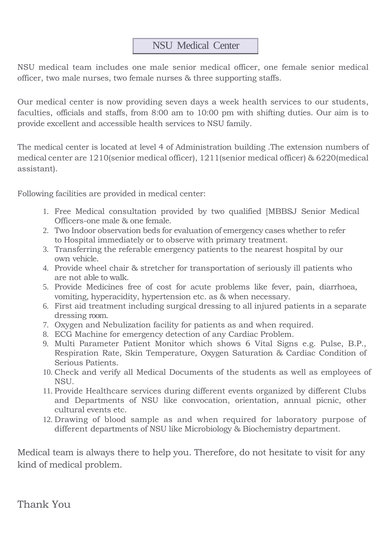# NSU Medical Center

NSU medical team includes one male senior medical officer, one female senior medical officer, two male nurses, two female nurses & three supporting staffs.

Our medical center is now providing seven days a week health services to our students, faculties, officials and staffs, from 8:00 am to 10:00 pm with shifting duties. Our aim is to provide excellent and accessible health services to NSU family.

The medical center is located at level 4 of Administration building .The extension numbers of medical center are 1210(senior medical officer), 1211(senior medical officer) & 6220(medical assistant).

Following facilities are provided in medical center:

- 1. Free Medical consultation provided by two qualified [MBBSJ Senior Medical Officers-one male & one female.
- 2. Two Indoor observation beds for evaluation of emergency cases whether to refer to Hospital immediately or to observe with primary treatment.
- 3. Transferring the referable emergency patients to the nearest hospital by our own vehicle.
- 4. Provide wheel chair & stretcher for transportation of seriously ill patients who are not able to walk.
- 5. Provide Medicines free of cost for acute problems like fever, pain, diarrhoea, vomiting, hyperacidity, hypertension etc. as & when necessary.
- 6. First aid treatment including surgical dressing to all injured patients in a separate dressing room.
- 7. Oxygen and Nebulization facility for patients as and when required.
- 8. ECG Machine for emergency detection of any Cardiac Problem.
- 9. Multi Parameter Patient Monitor which shows 6 Vital Signs e.g. Pulse, B.P., Respiration Rate, Skin Temperature, Oxygen Saturation & Cardiac Condition of Serious Patients.
- 10. Check and verify all Medical Documents of the students as well as employees of NSU.
- 11. Provide Healthcare services during different events organized by different Clubs and Departments of NSU like convocation, orientation, annual picnic, other cultural events etc.
- 12. Drawing of blood sample as and when required for laboratory purpose of different departments of NSU like Microbiology & Biochemistry department.

Medical team is always there to help you. Therefore, do not hesitate to visit for any kind of medical problem.

Thank You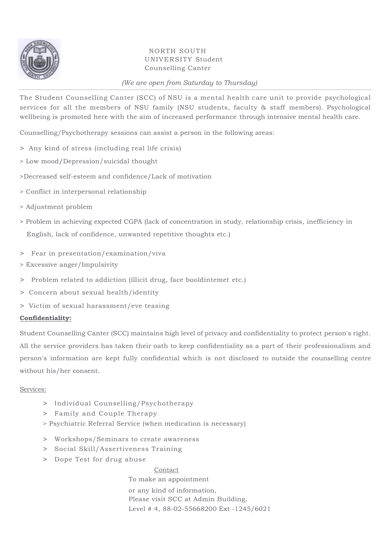

### NORTH SOUTH UNIVERSITY Student Counselling Canter

### *(We are open from Saturday to Thursday)*

The Student Counselling Canter (SCC) of NSU is a mental health care unit to provide psychological services for all the members of NSU family (NSU students, faculty & staff members). Psychological wellbeing is promoted here with the aim of increased performance through intensive mental health care.

Counselling/Psychotherapy sessions can assist a person in the following areas:

- > Any kind of stress (including real life crisis)
- > Low mood/Depression/suicidal thought
- >Decreased self-esteem and confidence/Lack of motivation
- > Conflict in interpersonal relationship
- > Adjustment problem
- > Problem in achieving expected CGPA (lack of concentration in study, relationship crisis, inefficiency in English, lack of confidence, unwanted repetitive thoughts etc.)
- > Fear in presentation/examination/viva
- > Excessive anger/Impulsivity
- > Problem related to addiction (illicit drug, face booldintemet etc.)
- > Concern about sexual health/identity
- > Victim of sexual harassment/eve teasing

### **Confidentiality:**

Student Counselling Canter (SCC) maintains high level of privacy and confidentiality to protect person's right. All the service providers has taken their oath to keep confidentiality as a part of their professionalism and person's information are kept fully confidential which is not disclosed to outside the counselling centre without his/her consent.

### Services:

- > Individual Counselling/Psychotherapy
- > Family and Couple Therapy
- > Psychiatric Referral Service (when medication is necessary)
- > Workshops/Seminars to create awareness
- > Social Skill/Assertiveness Training
- > Dope Test for drug abuse

Contact To make an appointment or any kind of information, Please visit SCC at Admin Building, Level # 4, 88-02-55668200 Ext -1245/6021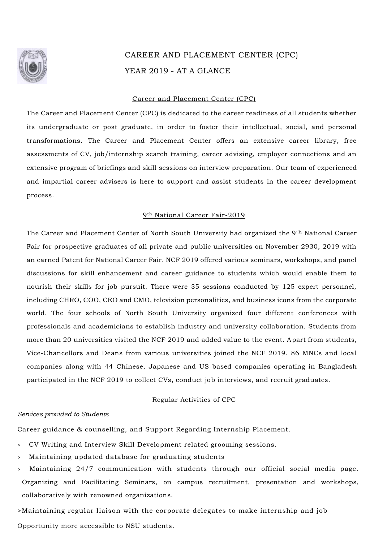

# CAREER AND PLACEMENT CENTER (CPC) YEAR 2019 - AT A GLANCE

#### Career and Placement Center (CPC)

The Career and Placement Center (CPC) is dedicated to the career readiness of all students whether its undergraduate or post graduate, in order to foster their intellectual, social, and personal transformations. The Career and Placement Center offers an extensive career library, free assessments of CV, job/internship search training, career advising, employer connections and an extensive program of briefings and skill sessions on interview preparation. Our team of experienced and impartial career advisers is here to support and assist students in the career development process.

#### 9th National Career Fair-2019

The Career and Placement Center of North South University had organized the 9<sup>'h</sup> National Career Fair for prospective graduates of all private and public universities on November 2930, 2019 with an earned Patent for National Career Fair. NCF 2019 offered various seminars, workshops, and panel discussions for skill enhancement and career guidance to students which would enable them to nourish their skills for job pursuit. There were 35 sessions conducted by 125 expert personnel, including CHRO, COO, CEO and CMO, television personalities, and business icons from the corporate world. The four schools of North South University organized four different conferences with professionals and academicians to establish industry and university collaboration. Students from more than 20 universities visited the NCF 2019 and added value to the event. Apart from students, Vice-Chancellors and Deans from various universities joined the NCF 2019. 86 MNCs and local companies along with 44 Chinese, Japanese and US-based companies operating in Bangladesh participated in the NCF 2019 to collect CVs, conduct job interviews, and recruit graduates.

#### Regular Activities of CPC

#### *Services provided to Students*

Career guidance & counselling, and Support Regarding Internship Placement.

- <sup>&</sup>gt; CV Writing and Interview Skill Development related grooming sessions.
- <sup>&</sup>gt; Maintaining updated database for graduating students
- <sup>&</sup>gt; Maintaining 24/7 communication with students through our official social media page. Organizing and Facilitating Seminars, on campus recruitment, presentation and workshops, collaboratively with renowned organizations.

>Maintaining regular liaison with the corporate delegates to make internship and job Opportunity more accessible to NSU students.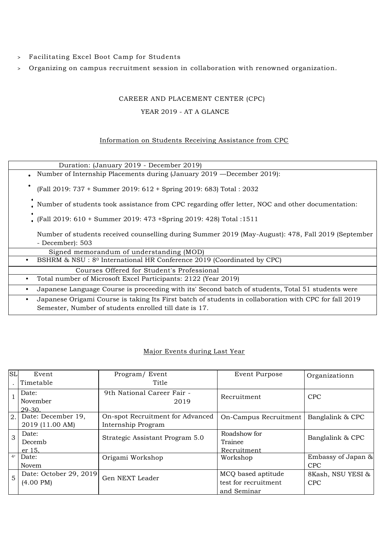- <sup>&</sup>gt; Facilitating Excel Boot Camp for Students
- <sup>&</sup>gt; Organizing on campus recruitment session in collaboration with renowned organization.

### CAREER AND PLACEMENT CENTER (CPC)

#### YEAR 2019 - AT A GLANCE

### Information on Students Receiving Assistance from CPC

| Duration: (January 2019 - December 2019)                                                                               |  |  |  |  |  |
|------------------------------------------------------------------------------------------------------------------------|--|--|--|--|--|
| Number of Internship Placements during (January 2019 — December 2019):                                                 |  |  |  |  |  |
| (Fall 2019: 737 + Summer 2019: 612 + Spring 2019: 683) Total: 2032                                                     |  |  |  |  |  |
| Number of students took assistance from CPC regarding offer letter, NOC and other documentation:                       |  |  |  |  |  |
| (Fall 2019: 610 + Summer 2019: 473 + Spring 2019: 428) Total : 1511                                                    |  |  |  |  |  |
| Number of students received counselling during Summer 2019 (May-August): 478, Fall 2019 (September<br>- December): 503 |  |  |  |  |  |
| Signed memorandum of understanding (MOD)                                                                               |  |  |  |  |  |
| BSHRM & NSU: 8 <sup>0</sup> International HR Conference 2019 (Coordinated by CPC)                                      |  |  |  |  |  |
| Courses Offered for Student's Professional                                                                             |  |  |  |  |  |
| Total number of Microsoft Excel Participants: 2122 (Year 2019)                                                         |  |  |  |  |  |
| Japanese Language Course is proceeding with its' Second batch of students, Total 51 students were                      |  |  |  |  |  |
| Japanese Origami Course is taking Its First batch of students in collaboration with CPC for fall 2019                  |  |  |  |  |  |
| Semester, Number of students enrolled till date is 17.                                                                 |  |  |  |  |  |

### Major Events during Last Year

| <b>SL</b> | Event                  | Program/Event                    | Event Purpose         | Organizationn      |
|-----------|------------------------|----------------------------------|-----------------------|--------------------|
|           | Timetable              | Title                            |                       |                    |
|           | Date:                  | 9th National Career Fair -       | Recruitment           | <b>CPC</b>         |
|           | November               | 2019                             |                       |                    |
|           | 29-30.                 |                                  |                       |                    |
| 2.        | Date: December 19,     | On-spot Recruitment for Advanced | On-Campus Recruitment | Banglalink & CPC   |
|           | 2019 (11.00 AM)        | Internship Program               |                       |                    |
| 3         | Date:                  | Strategic Assistant Program 5.0  | Roadshow for          | Banglalink & CPC   |
|           | Decemb                 |                                  | Trainee               |                    |
|           | er 15.                 |                                  | Recruitment           |                    |
| 4'        | Date:                  | Origami Workshop                 | Workshop              | Embassy of Japan & |
|           | Novem                  |                                  |                       | <b>CPC</b>         |
| 5         | Date: October 29, 2019 | Gen NEXT Leader                  | MCQ based aptitude    | 8Kash, NSU YESI &  |
|           | $(4.00 \text{ PM})$    |                                  | test for recruitment  | <b>CPC</b>         |
|           |                        |                                  | and Seminar           |                    |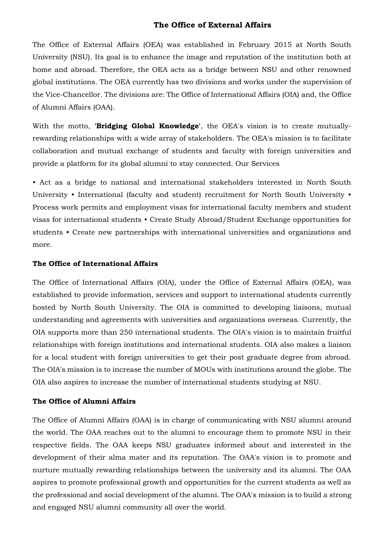### **The Office of External Affairs**

The Office of External Affairs (OEA) was established in February 2015 at North South University (NSU). Its goal is to enhance the image and reputation of the institution both at home and abroad. Therefore, the OEA acts as a bridge between NSU and other renowned global institutions. The OEA currently has two divisions and works under the supervision of the Vice-Chancellor. The divisions are: The Office of International Affairs (OIA) and, the Office of Alumni Affairs (OAA).

With the motto, **'Bridging Global Knowledge'**, the OEA's vision is to create mutuallyrewarding relationships with a wide array of stakeholders. The OEA's mission is to facilitate collaboration and mutual exchange of students and faculty with foreign universities and provide a platform for its global alumni to stay connected. Our Services

• Act as a bridge to national and international stakeholders interested in North South University • International (faculty and student) recruitment for North South University • Process work permits and employment visas for international faculty members and student visas for international students • Create Study Abroad/Student Exchange opportunities for students • Create new partnerships with international universities and organizations and more.

#### **The Office of International Affairs**

The Office of International Affairs (OIA), under the Office of External Affairs (OEA), was established to provide information, services and support to international students currently hosted by North South University. The OIA is committed to developing liaisons, mutual understanding and agreements with universities and organizations overseas. Currently, the OIA supports more than 250 international students. The OIA's vision is to maintain fruitful relationships with foreign institutions and international students. OIA also makes a liaison for a local student with foreign universities to get their post graduate degree from abroad. The OIA's mission is to increase the number of MOUs with institutions around the globe. The OIA also aspires to increase the number of international students studying at NSU.

### **The Office of Alumni Affairs**

The Office of Alumni Affairs (OAA) is in charge of communicating with NSU alumni around the world. The OAA reaches out to the alumni to encourage them to promote NSU in their respective fields. The OAA keeps NSU graduates informed about and interested in the development of their alma mater and its reputation. The OAA's vision is to promote and nurture mutually rewarding relationships between the university and its alumni. The OAA aspires to promote professional growth and opportunities for the current students as well as the professional and social development of the alumni. The OAA's mission is to build a strong and engaged NSU alumni community all over the world.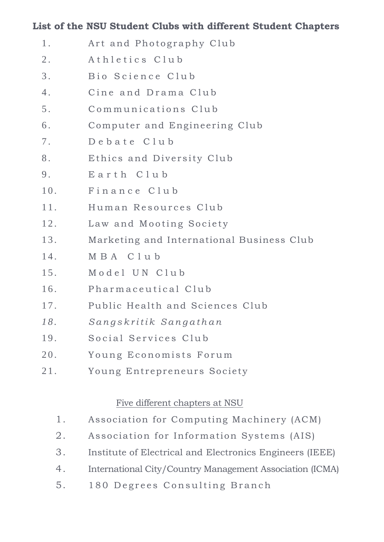# **List of the NSU Student Clubs with different Student Chapters**

- 1. Art and Photography Club 2. Athletics Club 3. Bio Science Club 4. Cine and Drama Club 5. Communications Club 6 . Computer and Engineering Club 7. Debate Club 8. Ethics and Diversity Club 9. Earth Club 10. Finance Club 11. Human Resources Club 12. Law and Mooting Society 13. Marketing and International Business Club 14. MBA C l u b 15. Model UN Club 16. Pharmaceutical Club 17. Public Health and Sciences Club *1 8 . S a n g s k r i t i k S a n g a t h a n* 19. Social Services Club 20. Young Economists Forum
- 21. Young Entrepreneurs Society

# Five different chapters at NSU

- 1. Association for Computing Machinery (ACM)
- 2. Association for Information Systems (AIS)
- 3. Institute of Electrical and Electronics Engineers (IEEE)
- 4. International City/Country Management Association (ICMA)
- 5. 180 Degrees Consulting Branch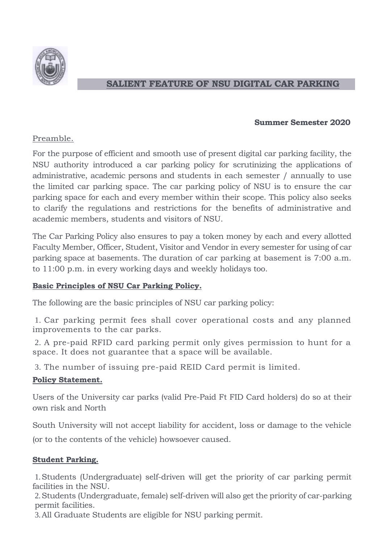

# **SALIENT FEATURE OF NSU DIGITAL CAR PARKING**

### **Summer Semester 2020**

## Preamble.

For the purpose of efficient and smooth use of present digital car parking facility, the NSU authority introduced a car parking policy for scrutinizing the applications of administrative, academic persons and students in each semester / annually to use the limited car parking space. The car parking policy of NSU is to ensure the car parking space for each and every member within their scope. This policy also seeks to clarify the regulations and restrictions for the benefits of administrative and academic members, students and visitors of NSU.

The Car Parking Policy also ensures to pay a token money by each and every allotted Faculty Member, Officer, Student, Visitor and Vendor in every semester for using of car parking space at basements. The duration of car parking at basement is 7:00 a.m. to 11:00 p.m. in every working days and weekly holidays too.

### **Basic Principles of NSU Car Parking Policy.**

The following are the basic principles of NSU car parking policy:

1. Car parking permit fees shall cover operational costs and any planned improvements to the car parks.

2. A pre-paid RFID card parking permit only gives permission to hunt for a space. It does not guarantee that a space will be available.

3. The number of issuing pre-paid REID Card permit is limited.

# **Policy Statement.**

Users of the University car parks (valid Pre-Paid Ft FID Card holders) do so at their own risk and North

South University will not accept liability for accident, loss or damage to the vehicle (or to the contents of the vehicle) howsoever caused.

# **Student Parking.**

1.Students (Undergraduate) self-driven will get the priority of car parking permit facilities in the NSU.

2.Students (Undergraduate, female) self-driven will also get the priority of car-parking permit facilities.

3.All Graduate Students are eligible for NSU parking permit.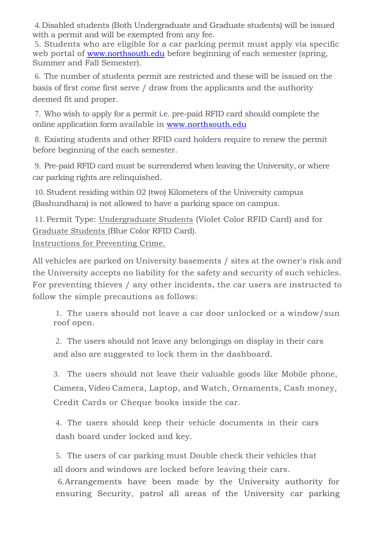4. Disabled students (Both Undergraduate and Graduate students) will be issued with a permit and will be exempted from any fee.

5. Students who are eligible for a car parking permit must apply via specific web portal of [www.northsouth.edu](http://www.northsouth.edu/) before beginning of each semester (spring, Summer and Fall Semester).

6. The number of students permit are restricted and these will be issued on the basis of first come first serve / draw from the applicants and the authority deemed fit and proper.

7. Who wish to apply for a permit i.e. pre-paid RFID card should complete the online application form available in [www.northsouth.edu](http://www.northsouth.edu/)

8. Existing students and other RFID card holders require to renew the permit before beginning of the each semester.

9. Pre-paid RFID card must be surrendered when leaving the University, or where car parking rights are relinquished.

10. Student residing within 02 (two) Kilometers of the University campus (Bashundhara) is not allowed to have a parking space on campus.

11. Permit Type: Undergraduate Students (Violet Color RFID Card) and for Graduate Students (Blue Color RFID Card). Instructions for Preventing Crime.

All vehicles are parked on University basements / sites at the owner's risk and the University accepts no liability for the safety and security of such vehicles. For preventing thieves / any other incidents, the car users are instructed to follow the simple precautions as follows:

1. The users should not leave a car door unlocked or a window/sun roof open.

2. The users should not leave any belongings on display in their cars and also are suggested to lock them in the dashboard.

3. The users should not leave their valuable goods like Mobile phone, Camera, Video Camera, Laptop, and Watch, Ornaments, Cash money, Credit Cards or Cheque books inside the car.

4. The users should keep their vehicle documents in their cars dash board under locked and key.

5. The users of car parking must Double check their vehicles that all doors and windows are locked before leaving their cars.

6.Arrangements have been made by the University authority for ensuring Security, patrol all areas of the University car parking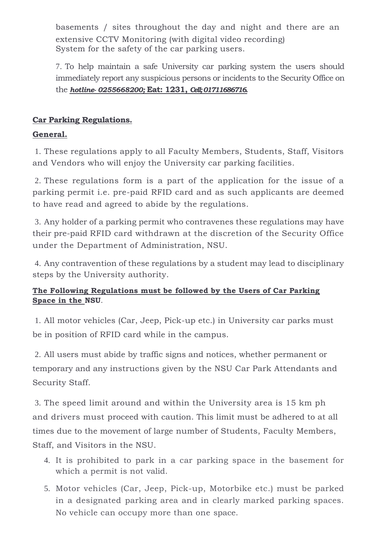basements / sites throughout the day and night and there are an extensive CCTV Monitoring (with digital video recording) System for the safety of the car parking users.

7. To help maintain a safe University car parking system the users should immediately report any suspicious persons or incidents to the Security Office on the *hotline- 0255668200;* **Eat: 1231,** *Cell; 01711686716.* 

# **Car Parking Regulations.**

# **General.**

1. These regulations apply to all Faculty Members, Students, Staff, Visitors and Vendors who will enjoy the University car parking facilities.

2. These regulations form is a part of the application for the issue of a parking permit i.e. pre-paid RFID card and as such applicants are deemed to have read and agreed to abide by the regulations.

3. Any holder of a parking permit who contravenes these regulations may have their pre-paid RFID card withdrawn at the discretion of the Security Office under the Department of Administration, NSU.

4. Any contravention of these regulations by a student may lead to disciplinary steps by the University authority.

# **The Following Regulations must be followed by the Users of Car Parking Space in the NSU**.

1. All motor vehicles (Car, Jeep, Pick-up etc.) in University car parks must be in position of RFID card while in the campus.

2. All users must abide by traffic signs and notices, whether permanent or temporary and any instructions given by the NSU Car Park Attendants and Security Staff.

3. The speed limit around and within the University area is 15 km ph and drivers must proceed with caution. This limit must be adhered to at all times due to the movement of large number of Students, Faculty Members, Staff, and Visitors in the NSU.

- 4. It is prohibited to park in a car parking space in the basement for which a permit is not valid.
- 5. Motor vehicles (Car, Jeep, Pick-up, Motorbike etc.) must be parked in a designated parking area and in clearly marked parking spaces. No vehicle can occupy more than one space.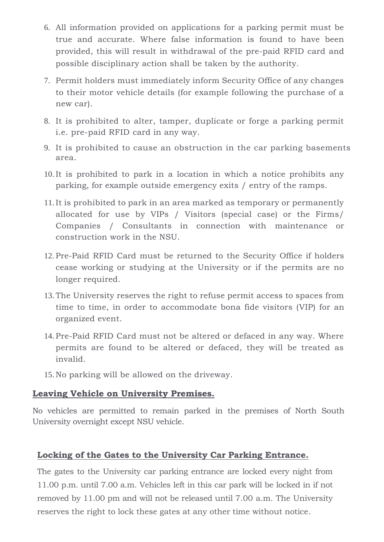- 6. All information provided on applications for a parking permit must be true and accurate. Where false information is found to have been provided, this will result in withdrawal of the pre-paid RFID card and possible disciplinary action shall be taken by the authority.
- 7. Permit holders must immediately inform Security Office of any changes to their motor vehicle details (for example following the purchase of a new car).
- 8. It is prohibited to alter, tamper, duplicate or forge a parking permit i.e. pre-paid RFID card in any way.
- 9. It is prohibited to cause an obstruction in the car parking basements area.
- 10. It is prohibited to park in a location in which a notice prohibits any parking, for example outside emergency exits / entry of the ramps.
- 11. It is prohibited to park in an area marked as temporary or permanently allocated for use by VIPs / Visitors (special case) or the Firms/ Companies / Consultants in connection with maintenance or construction work in the NSU.
- 12. Pre-Paid RFID Card must be returned to the Security Office if holders cease working or studying at the University or if the permits are no longer required.
- 13. The University reserves the right to refuse permit access to spaces from time to time, in order to accommodate bona fide visitors (VIP) for an organized event.
- 14. Pre-Paid RFID Card must not be altered or defaced in any way. Where permits are found to be altered or defaced, they will be treated as invalid.
- 15. No parking will be allowed on the driveway.

# **Leaving Vehicle on University Premises.**

No vehicles are permitted to remain parked in the premises of North South University overnight except NSU vehicle.

# **Locking of the Gates to the University Car Parking Entrance.**

The gates to the University car parking entrance are locked every night from 11.00 p.m. until 7.00 a.m. Vehicles left in this car park will be locked in if not removed by 11.00 pm and will not be released until 7.00 a.m. The University reserves the right to lock these gates at any other time without notice.